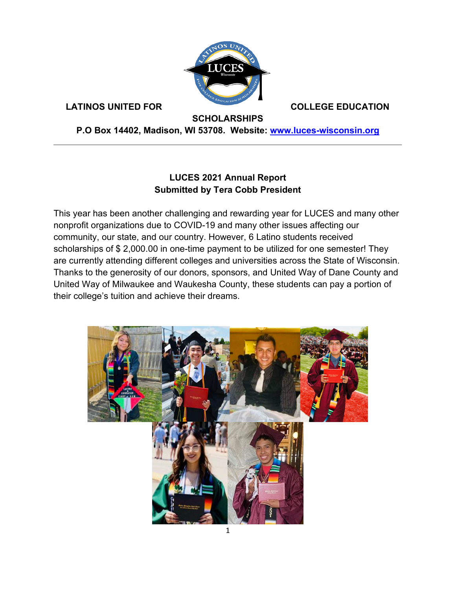

**LATINOS UNITED FOR COLLEGE EDUCATION** 

**SCHOLARSHIPS**

**P.O Box 14402, Madison, WI 53708. Website: [www.luces-wisconsin.org](http://www.luces-wisconsin.org/)**

#### **LUCES 2021 Annual Report Submitted by Tera Cobb President**

This year has been another challenging and rewarding year for LUCES and many other nonprofit organizations due to COVID-19 and many other issues affecting our community, our state, and our country. However, 6 Latino students received scholarships of \$ 2,000.00 in one-time payment to be utilized for one semester! They are currently attending different colleges and universities across the State of Wisconsin. Thanks to the generosity of our donors, sponsors, and United Way of Dane County and United Way of Milwaukee and Waukesha County, these students can pay a portion of their college's tuition and achieve their dreams.

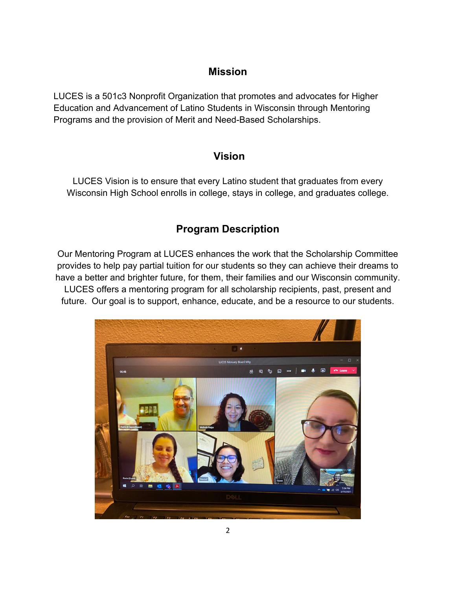#### **Mission**

LUCES is a 501c3 Nonprofit Organization that promotes and advocates for Higher Education and Advancement of Latino Students in Wisconsin through Mentoring Programs and the provision of Merit and Need-Based Scholarships.

### **Vision**

LUCES Vision is to ensure that every Latino student that graduates from every Wisconsin High School enrolls in college, stays in college, and graduates college.

## **Program Description**

Our Mentoring Program at LUCES enhances the work that the Scholarship Committee provides to help pay partial tuition for our students so they can achieve their dreams to have a better and brighter future, for them, their families and our Wisconsin community. LUCES offers a mentoring program for all scholarship recipients, past, present and future. Our goal is to support, enhance, educate, and be a resource to our students.

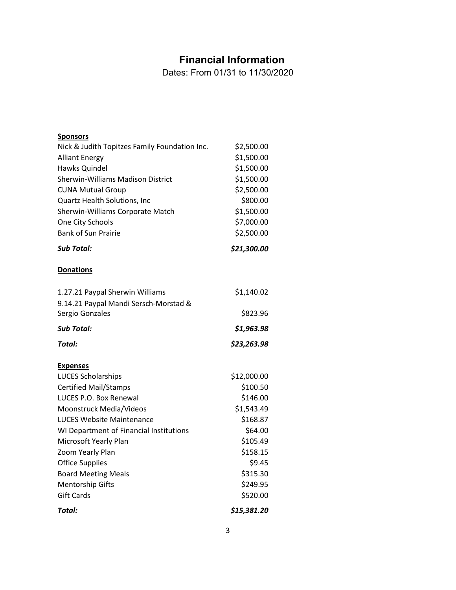## **Financial Information**

Dates: From 01/31 to 11/30/2020

| <b>Sponsors</b>                               |             |
|-----------------------------------------------|-------------|
| Nick & Judith Topitzes Family Foundation Inc. | \$2,500.00  |
| <b>Alliant Energy</b>                         | \$1,500.00  |
| Hawks Quindel                                 | \$1,500.00  |
| <b>Sherwin-Williams Madison District</b>      | \$1,500.00  |
| <b>CUNA Mutual Group</b>                      | \$2,500.00  |
| Quartz Health Solutions, Inc                  | \$800.00    |
| Sherwin-Williams Corporate Match              | \$1,500.00  |
| One City Schools                              | \$7,000.00  |
| <b>Bank of Sun Prairie</b>                    | \$2,500.00  |
| Sub Total:                                    | \$21,300.00 |
| <b>Donations</b>                              |             |
| 1.27.21 Paypal Sherwin Williams               | \$1,140.02  |
| 9.14.21 Paypal Mandi Sersch-Morstad &         |             |
| Sergio Gonzales                               | \$823.96    |
|                                               |             |
| <b>Sub Total:</b>                             | \$1,963.98  |
| Total:                                        | \$23,263.98 |
|                                               |             |
| <b>Expenses</b><br><b>LUCES Scholarships</b>  | \$12,000.00 |
| <b>Certified Mail/Stamps</b>                  | \$100.50    |
| LUCES P.O. Box Renewal                        | \$146.00    |
| Moonstruck Media/Videos                       | \$1,543.49  |
| <b>LUCES Website Maintenance</b>              | \$168.87    |
| WI Department of Financial Institutions       | \$64.00     |
| Microsoft Yearly Plan                         | \$105.49    |
| Zoom Yearly Plan                              | \$158.15    |
| <b>Office Supplies</b>                        | \$9.45      |
| <b>Board Meeting Meals</b>                    | \$315.30    |
| <b>Mentorship Gifts</b>                       | \$249.95    |
| <b>Gift Cards</b>                             | \$520.00    |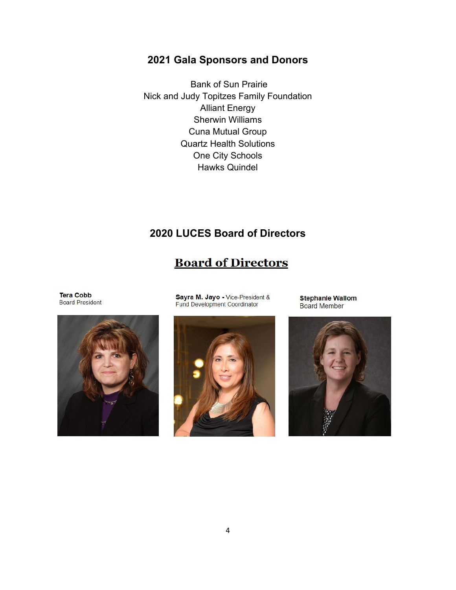## **2021 Gala Sponsors and Donors**

Bank of Sun Prairie Nick and Judy Topitzes Family Foundation Alliant Energy Sherwin Williams Cuna Mutual Group Quartz Health Solutions One City Schools Hawks Quindel

## **2020 LUCES Board of Directors**

# **Board of Directors**

**Tera Cobb Board President** 



Sayra M. Jayo - Vice-President &<br>Fund Development Coordinator



**Stephanie Wallom Board Member**